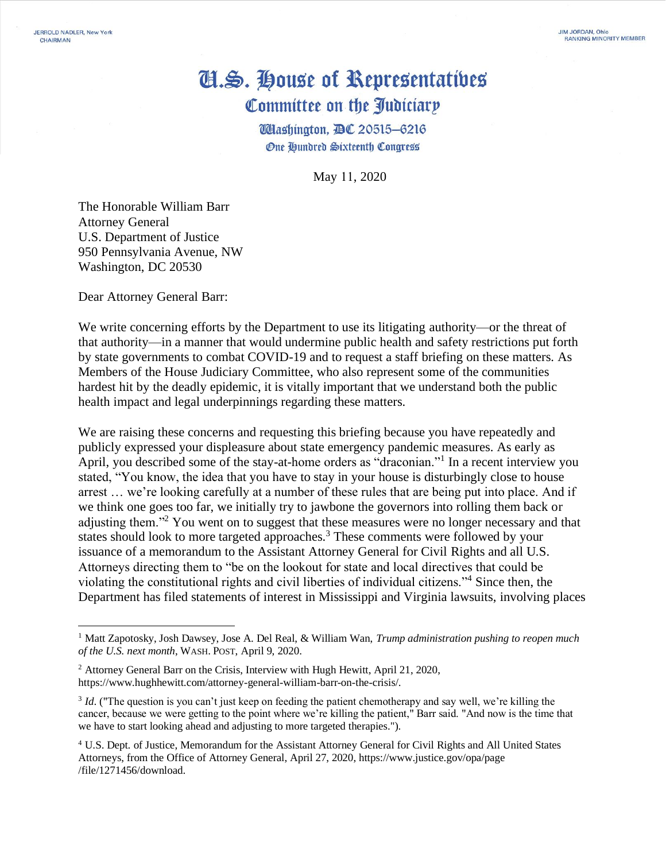## Cl.S. House of Representatives Committee on the Judiciary

**Wlashington, DC 20515-6216 One Hundred Sixteenth Congress** 

May 11, 2020

The Honorable William Barr Attorney General U.S. Department of Justice 950 Pennsylvania Avenue, NW Washington, DC 20530

JERROLD NADLER, New York CHAIRMAN

Dear Attorney General Barr:

We write concerning efforts by the Department to use its litigating authority—or the threat of that authority—in a manner that would undermine public health and safety restrictions put forth by state governments to combat COVID-19 and to request a staff briefing on these matters. As Members of the House Judiciary Committee, who also represent some of the communities hardest hit by the deadly epidemic, it is vitally important that we understand both the public health impact and legal underpinnings regarding these matters.

We are raising these concerns and requesting this briefing because you have repeatedly and publicly expressed your displeasure about state emergency pandemic measures. As early as April, you described some of the stay-at-home orders as "draconian."<sup>1</sup> In a recent interview you stated, "You know, the idea that you have to stay in your house is disturbingly close to house arrest … we're looking carefully at a number of these rules that are being put into place. And if we think one goes too far, we initially try to jawbone the governors into rolling them back or adjusting them."<sup>2</sup> You went on to suggest that these measures were no longer necessary and that states should look to more targeted approaches.<sup>3</sup> These comments were followed by your issuance of a memorandum to the Assistant Attorney General for Civil Rights and all U.S. Attorneys directing them to "be on the lookout for state and local directives that could be violating the constitutional rights and civil liberties of individual citizens."<sup>4</sup> Since then, the Department has filed statements of interest in Mississippi and Virginia lawsuits, involving places

<sup>1</sup> Matt Zapotosky, Josh Dawsey, Jose A. Del Real, & William Wan, *Trump administration pushing to reopen much of the U.S. next month*, WASH. POST, April 9, 2020.

<sup>&</sup>lt;sup>2</sup> Attorney General Barr on the Crisis, Interview with Hugh Hewitt, April 21, 2020, https://www.hughhewitt.com/attorney-general-william-barr-on-the-crisis/.

<sup>&</sup>lt;sup>3</sup> *Id*. ("The question is you can't just keep on feeding the patient chemotherapy and say well, we're killing the cancer, because we were getting to the point where we're killing the patient," Barr said. "And now is the time that we have to start looking ahead and adjusting to more targeted therapies.").

<sup>4</sup> U.S. Dept. of Justice, Memorandum for the Assistant Attorney General for Civil Rights and All United States Attorneys, from the Office of Attorney General, April 27, 2020, https://www.justice.gov/opa/page /file/1271456/download.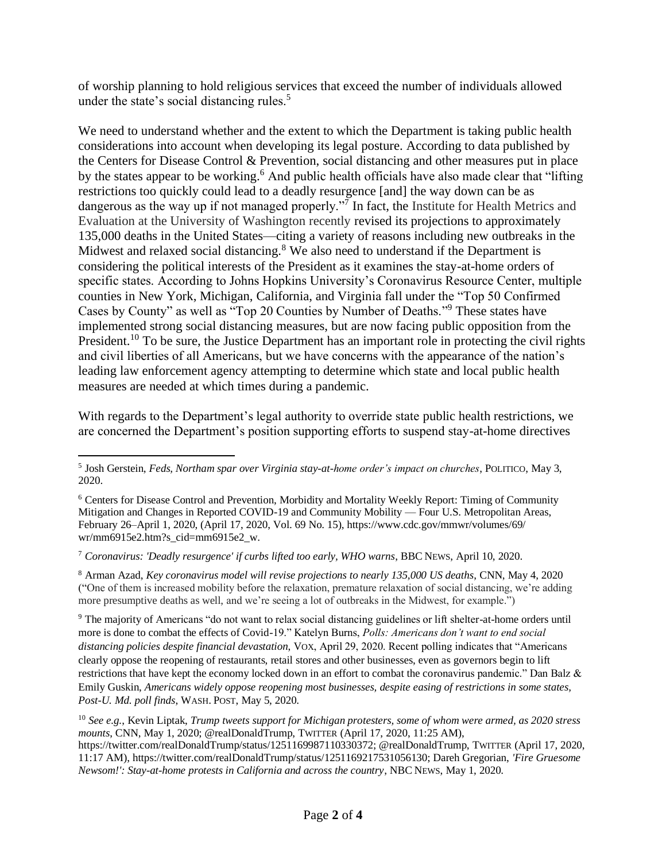of worship planning to hold religious services that exceed the number of individuals allowed under the state's social distancing rules.<sup>5</sup>

We need to understand whether and the extent to which the Department is taking public health considerations into account when developing its legal posture. According to data published by the Centers for Disease Control & Prevention, social distancing and other measures put in place by the states appear to be working.<sup>6</sup> And public health officials have also made clear that "lifting" restrictions too quickly could lead to a deadly resurgence [and] the way down can be as dangerous as the way up if not managed properly."<sup>7</sup> In fact, the Institute for Health Metrics and Evaluation at the University of Washington recently revised its projections to approximately 135,000 deaths in the United States—citing a variety of reasons including new outbreaks in the Midwest and relaxed social distancing. $8$  We also need to understand if the Department is considering the political interests of the President as it examines the stay-at-home orders of specific states. According to Johns Hopkins University's Coronavirus Resource Center, multiple counties in New York, Michigan, California, and Virginia fall under the "Top 50 Confirmed Cases by County" as well as "Top 20 Counties by Number of Deaths." <sup>9</sup> These states have implemented strong social distancing measures, but are now facing public opposition from the President.<sup>10</sup> To be sure, the Justice Department has an important role in protecting the civil rights and civil liberties of all Americans, but we have concerns with the appearance of the nation's leading law enforcement agency attempting to determine which state and local public health measures are needed at which times during a pandemic.

With regards to the Department's legal authority to override state public health restrictions, we are concerned the Department's position supporting efforts to suspend stay-at-home directives

<sup>7</sup> *Coronavirus: 'Deadly resurgence' if curbs lifted too early, WHO warns*, BBC NEWS, April 10, 2020.

<sup>8</sup> Arman Azad, *Key coronavirus model will revise projections to nearly 135,000 US deaths*, CNN, May 4, 2020 ("One of them is increased mobility before the relaxation, premature relaxation of social distancing, we're adding more presumptive deaths as well, and we're seeing a lot of outbreaks in the Midwest, for example.")

<sup>9</sup> The majority of Americans "do not want to relax social distancing guidelines or lift shelter-at-home orders until more is done to combat the effects of Covid-19." Katelyn Burns, *Polls: Americans don't want to end social distancing policies despite financial devastation*, VOX, April 29, 2020. Recent polling indicates that "Americans clearly oppose the reopening of restaurants, retail stores and other businesses, even as governors begin to lift restrictions that have kept the economy locked down in an effort to combat the coronavirus pandemic." Dan Balz & Emily Guskin, *Americans widely oppose reopening most businesses, despite easing of restrictions in some states, Post-U. Md. poll finds*, WASH. POST, May 5, 2020.

<sup>10</sup> *See e.g.*, Kevin Liptak, *Trump tweets support for Michigan protesters, some of whom were armed, as 2020 stress mounts*, CNN, May 1, 2020; @realDonaldTrump, TWITTER (April 17, 2020, 11:25 AM), https://twitter.com/realDonaldTrump/status/1251169987110330372; @realDonaldTrump, TWITTER (April 17, 2020, 11:17 AM), https://twitter.com/realDonaldTrump/status/1251169217531056130; Dareh Gregorian, *'Fire Gruesome Newsom!': Stay-at-home protests in California and across the country*, NBC NEWS, May 1, 2020.

<sup>5</sup> Josh Gerstein, *Feds, Northam spar over Virginia stay-at-home order's impact on churches*, POLITICO, May 3, 2020.

<sup>6</sup> Centers for Disease Control and Prevention, Morbidity and Mortality Weekly Report: Timing of Community Mitigation and Changes in Reported COVID-19 and Community Mobility — Four U.S. Metropolitan Areas, February 26–April 1, 2020, (April 17, 2020, Vol. 69 No. 15), https://www.cdc.gov/mmwr/volumes/69/ wr/mm6915e2.htm?s\_cid=mm6915e2\_w.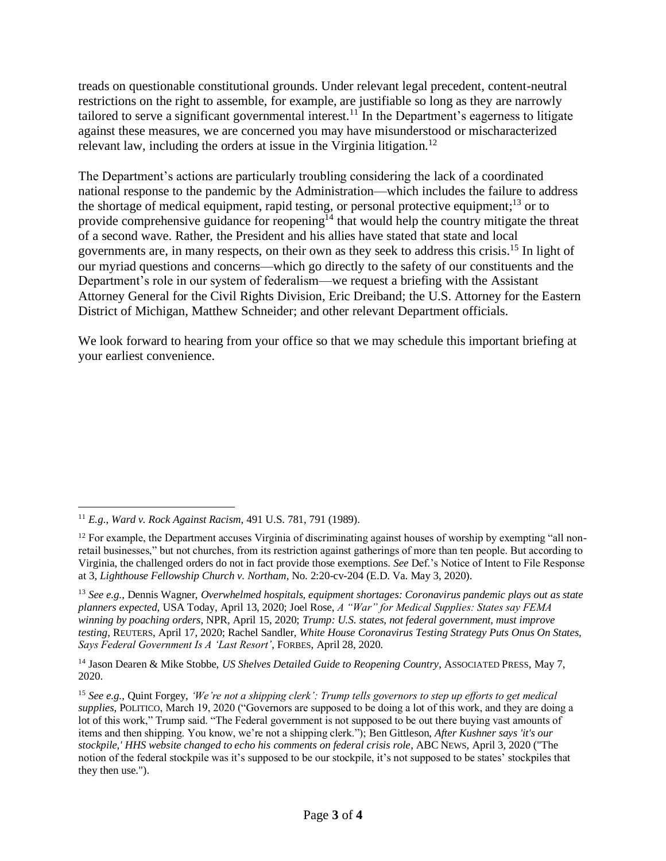treads on questionable constitutional grounds. Under relevant legal precedent, content-neutral restrictions on the right to assemble, for example, are justifiable so long as they are narrowly tailored to serve a significant governmental interest.<sup>11</sup> In the Department's eagerness to litigate against these measures, we are concerned you may have misunderstood or mischaracterized relevant law, including the orders at issue in the Virginia litigation.<sup>12</sup>

The Department's actions are particularly troubling considering the lack of a coordinated national response to the pandemic by the Administration—which includes the failure to address the shortage of medical equipment, rapid testing, or personal protective equipment;<sup>13</sup> or to provide comprehensive guidance for reopening<sup>14</sup> that would help the country mitigate the threat of a second wave. Rather, the President and his allies have stated that state and local governments are, in many respects, on their own as they seek to address this crisis. <sup>15</sup> In light of our myriad questions and concerns—which go directly to the safety of our constituents and the Department's role in our system of federalism—we request a briefing with the Assistant Attorney General for the Civil Rights Division, Eric Dreiband; the U.S. Attorney for the Eastern District of Michigan, Matthew Schneider; and other relevant Department officials.

We look forward to hearing from your office so that we may schedule this important briefing at your earliest convenience.

<sup>13</sup> *See e.g.*, Dennis Wagner, *Overwhelmed hospitals, equipment shortages: Coronavirus pandemic plays out as state planners expected*, USA Today, April 13, 2020; Joel Rose, *A "War" for Medical Supplies: States say FEMA winning by poaching orders*, NPR, April 15, 2020; *Trump: U.S. states, not federal government, must improve testing*, REUTERS, April 17, 2020; Rachel Sandler, *White House Coronavirus Testing Strategy Puts Onus On States, Says Federal Government Is A 'Last Resort'*, FORBES, April 28, 2020.

<sup>14</sup> Jason Dearen & Mike Stobbe, *US Shelves Detailed Guide to Reopening Country*, ASSOCIATED PRESS, May 7, 2020.

<sup>11</sup> *E.g.*, *Ward v. Rock Against Racism*, 491 U.S. 781, 791 (1989).

 $12$  For example, the Department accuses Virginia of discriminating against houses of worship by exempting "all nonretail businesses," but not churches, from its restriction against gatherings of more than ten people. But according to Virginia, the challenged orders do not in fact provide those exemptions. *See* Def.'s Notice of Intent to File Response at 3, *Lighthouse Fellowship Church v. Northam*, No. 2:20-cv-204 (E.D. Va. May 3, 2020).

<sup>15</sup> *See e.g.*, Quint Forgey, *'We're not a shipping clerk': Trump tells governors to step up efforts to get medical supplies*, POLITICO, March 19, 2020 ("Governors are supposed to be doing a lot of this work, and they are doing a lot of this work," Trump said. "The Federal government is not supposed to be out there buying vast amounts of items and then shipping. You know, we're not a shipping clerk."); Ben Gittleson, *After Kushner says 'it's our stockpile,' HHS website changed to echo his comments on federal crisis role*, ABC NEWS, April 3, 2020 ("The notion of the federal stockpile was it's supposed to be our stockpile, it's not supposed to be states' stockpiles that they then use.").